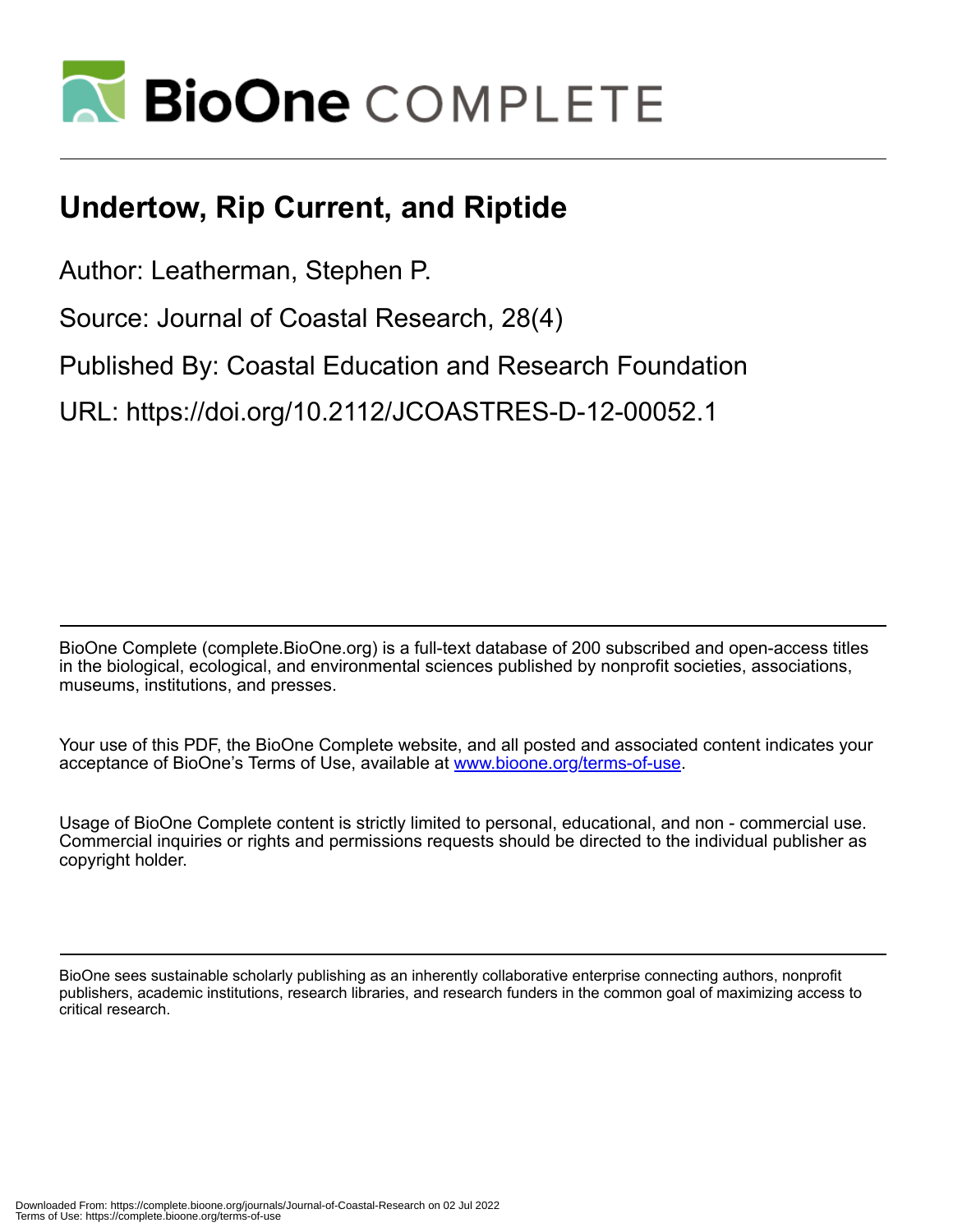

# **Undertow, Rip Current, and Riptide**

Author: Leatherman, Stephen P.

Source: Journal of Coastal Research, 28(4)

Published By: Coastal Education and Research Foundation

URL: https://doi.org/10.2112/JCOASTRES-D-12-00052.1

BioOne Complete (complete.BioOne.org) is a full-text database of 200 subscribed and open-access titles in the biological, ecological, and environmental sciences published by nonprofit societies, associations, museums, institutions, and presses.

Your use of this PDF, the BioOne Complete website, and all posted and associated content indicates your acceptance of BioOne's Terms of Use, available at www.bioone.org/terms-of-use.

Usage of BioOne Complete content is strictly limited to personal, educational, and non - commercial use. Commercial inquiries or rights and permissions requests should be directed to the individual publisher as copyright holder.

BioOne sees sustainable scholarly publishing as an inherently collaborative enterprise connecting authors, nonprofit publishers, academic institutions, research libraries, and research funders in the common goal of maximizing access to critical research.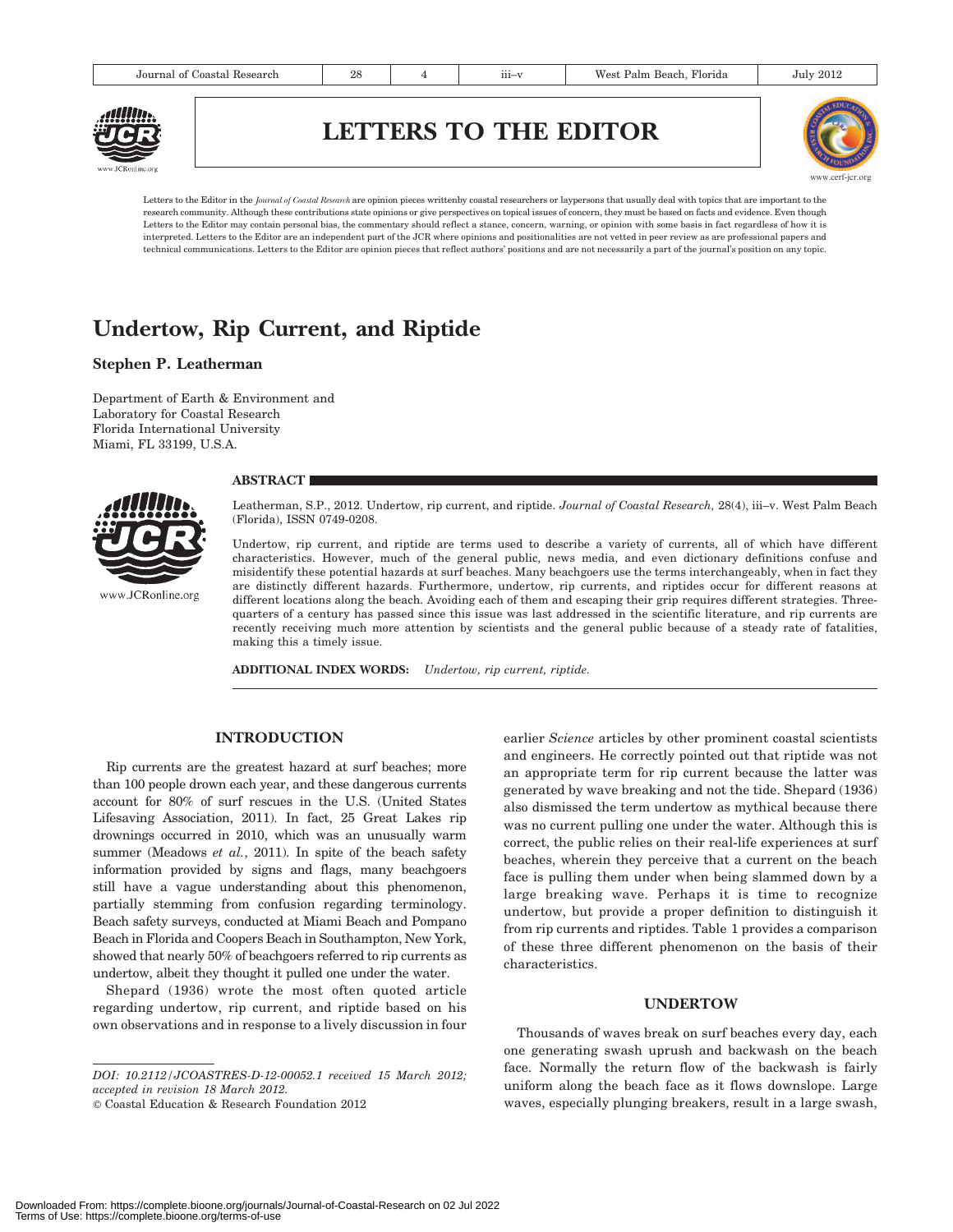# LETTERS TO THE EDITOR



Letters to the Editor in the Journal of Coastal Research are opinion pieces writtenby coastal researchers or laypersons that usually deal with topics that are important to the research community. Although these contributions state opinions or give perspectives on topical issues of concern, they must be based on facts and evidence. Even though Letters to the Editor may contain personal bias, the commentary should reflect a stance, concern, warning, or opinion with some basis in fact regardless of how it is interpreted. Letters to the Editor are an independent part of the JCR where opinions and positionalities are not vetted in peer review as are professional papers and technical communications. Letters to the Editor are opinion pieces that reflect authors' positions and are not necessarily a part of the journal's position on any topic.

# Undertow, Rip Current, and Riptide

# Stephen P. Leatherman

Department of Earth & Environment and Laboratory for Coastal Research Florida International University Miami, FL 33199, U.S.A.

#### **ABSTRACT**



www.JCRonline.org

Leatherman, S.P., 2012. Undertow, rip current, and riptide. Journal of Coastal Research, 28(4), iii–v. West Palm Beach (Florida), ISSN 0749-0208.

Undertow, rip current, and riptide are terms used to describe a variety of currents, all of which have different characteristics. However, much of the general public, news media, and even dictionary definitions confuse and misidentify these potential hazards at surf beaches. Many beachgoers use the terms interchangeably, when in fact they are distinctly different hazards. Furthermore, undertow, rip currents, and riptides occur for different reasons at different locations along the beach. Avoiding each of them and escaping their grip requires different strategies. Threequarters of a century has passed since this issue was last addressed in the scientific literature, and rip currents are recently receiving much more attention by scientists and the general public because of a steady rate of fatalities, making this a timely issue.

ADDITIONAL INDEX WORDS: Undertow, rip current, riptide.

# INTRODUCTION

Rip currents are the greatest hazard at surf beaches; more than 100 people drown each year, and these dangerous currents account for 80% of surf rescues in the U.S. (United States Lifesaving Association, 2011). In fact, 25 Great Lakes rip drownings occurred in 2010, which was an unusually warm summer (Meadows et al., 2011). In spite of the beach safety information provided by signs and flags, many beachgoers still have a vague understanding about this phenomenon, partially stemming from confusion regarding terminology. Beach safety surveys, conducted at Miami Beach and Pompano Beach in Florida and Coopers Beach in Southampton, New York, showed that nearly 50% of beachgoers referred to rip currents as undertow, albeit they thought it pulled one under the water.

Shepard (1936) wrote the most often quoted article regarding undertow, rip current, and riptide based on his own observations and in response to a lively discussion in four

© Coastal Education & Research Foundation 2012

earlier Science articles by other prominent coastal scientists and engineers. He correctly pointed out that riptide was not an appropriate term for rip current because the latter was generated by wave breaking and not the tide. Shepard (1936) also dismissed the term undertow as mythical because there was no current pulling one under the water. Although this is correct, the public relies on their real-life experiences at surf beaches, wherein they perceive that a current on the beach face is pulling them under when being slammed down by a large breaking wave. Perhaps it is time to recognize undertow, but provide a proper definition to distinguish it from rip currents and riptides. Table 1 provides a comparison of these three different phenomenon on the basis of their characteristics.

#### UNDERTOW

Thousands of waves break on surf beaches every day, each one generating swash uprush and backwash on the beach face. Normally the return flow of the backwash is fairly uniform along the beach face as it flows downslope. Large waves, especially plunging breakers, result in a large swash,

DOI: 10.2112/JCOASTRES-D-12-00052.1 received 15 March 2012; accepted in revision 18 March 2012.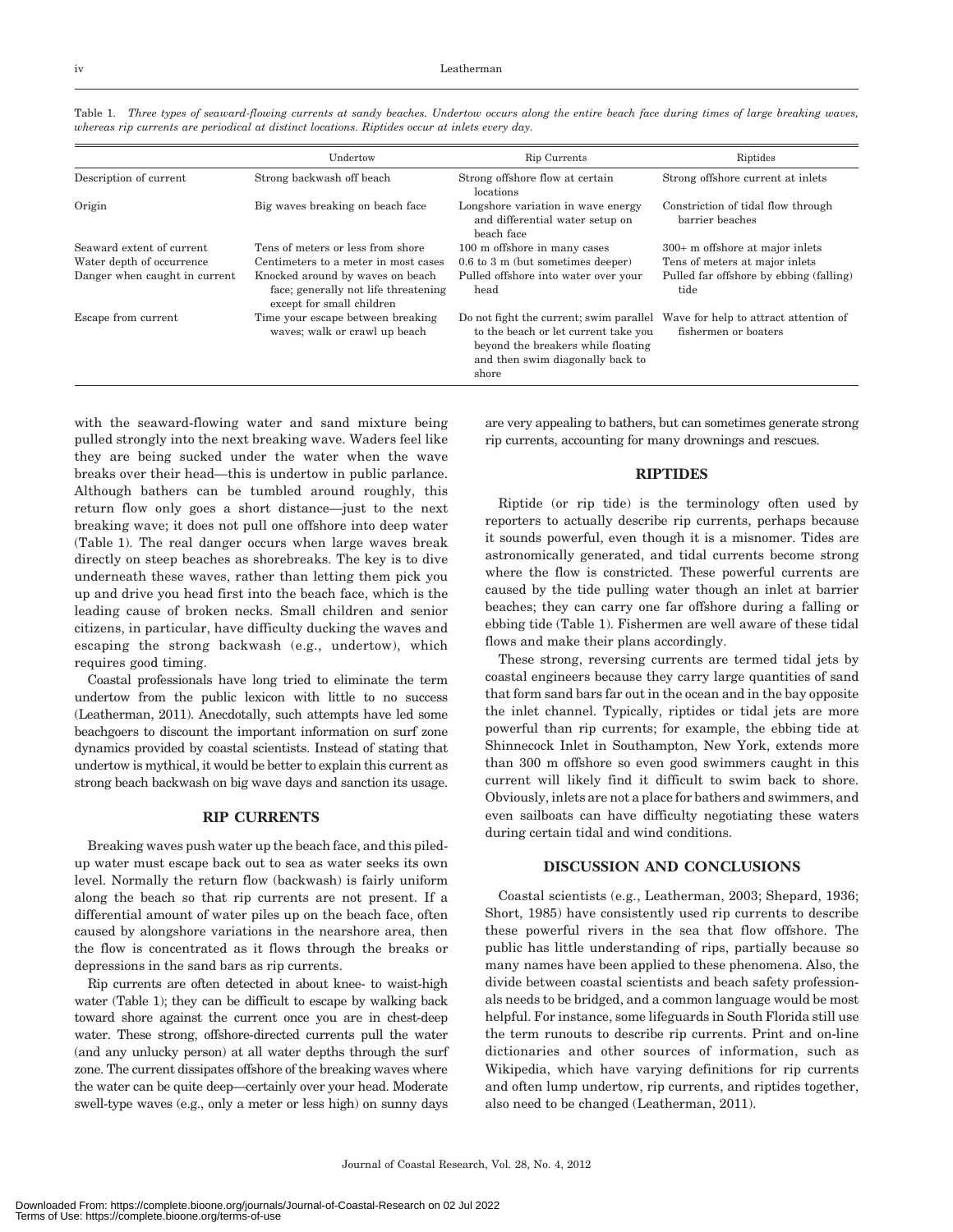|                               | Undertow                                                                                              | Rip Currents                                                                                                                                                       | Riptides                                                      |
|-------------------------------|-------------------------------------------------------------------------------------------------------|--------------------------------------------------------------------------------------------------------------------------------------------------------------------|---------------------------------------------------------------|
| Description of current        | Strong backwash off beach                                                                             | Strong offshore flow at certain<br>locations                                                                                                                       | Strong offshore current at inlets                             |
| Origin                        | Big waves breaking on beach face                                                                      | Longshore variation in wave energy<br>and differential water setup on<br>beach face                                                                                | Constriction of tidal flow through<br>barrier beaches         |
| Seaward extent of current     | Tens of meters or less from shore                                                                     | 100 m offshore in many cases                                                                                                                                       | 300+ m offshore at major inlets                               |
| Water depth of occurrence     | Centimeters to a meter in most cases                                                                  | $0.6$ to 3 m (but sometimes deeper)                                                                                                                                | Tens of meters at major inlets                                |
| Danger when caught in current | Knocked around by waves on beach<br>face; generally not life threatening<br>except for small children | Pulled offshore into water over your<br>head                                                                                                                       | Pulled far offshore by ebbing (falling)<br>tide               |
| Escape from current           | Time your escape between breaking<br>waves; walk or crawl up beach                                    | Do not fight the current; swim parallel<br>to the beach or let current take you<br>beyond the breakers while floating<br>and then swim diagonally back to<br>shore | Wave for help to attract attention of<br>fishermen or boaters |

Table 1. Three types of seaward-flowing currents at sandy beaches. Undertow occurs along the entire beach face during times of large breaking waves, whereas rip currents are periodical at distinct locations. Riptides occur at inlets every day.

with the seaward-flowing water and sand mixture being pulled strongly into the next breaking wave. Waders feel like they are being sucked under the water when the wave breaks over their head—this is undertow in public parlance. Although bathers can be tumbled around roughly, this return flow only goes a short distance—just to the next breaking wave; it does not pull one offshore into deep water (Table 1). The real danger occurs when large waves break directly on steep beaches as shorebreaks. The key is to dive underneath these waves, rather than letting them pick you up and drive you head first into the beach face, which is the leading cause of broken necks. Small children and senior citizens, in particular, have difficulty ducking the waves and escaping the strong backwash (e.g., undertow), which requires good timing.

Coastal professionals have long tried to eliminate the term undertow from the public lexicon with little to no success (Leatherman, 2011). Anecdotally, such attempts have led some beachgoers to discount the important information on surf zone dynamics provided by coastal scientists. Instead of stating that undertow is mythical, it would be better to explain this current as strong beach backwash on big wave days and sanction its usage.

#### RIP CURRENTS

Breaking waves push water up the beach face, and this piledup water must escape back out to sea as water seeks its own level. Normally the return flow (backwash) is fairly uniform along the beach so that rip currents are not present. If a differential amount of water piles up on the beach face, often caused by alongshore variations in the nearshore area, then the flow is concentrated as it flows through the breaks or depressions in the sand bars as rip currents.

Rip currents are often detected in about knee- to waist-high water (Table 1); they can be difficult to escape by walking back toward shore against the current once you are in chest-deep water. These strong, offshore-directed currents pull the water (and any unlucky person) at all water depths through the surf zone. The current dissipates offshore of the breaking waves where the water can be quite deep—certainly over your head. Moderate swell-type waves (e.g., only a meter or less high) on sunny days

are very appealing to bathers, but can sometimes generate strong rip currents, accounting for many drownings and rescues.

## RIPTIDES

Riptide (or rip tide) is the terminology often used by reporters to actually describe rip currents, perhaps because it sounds powerful, even though it is a misnomer. Tides are astronomically generated, and tidal currents become strong where the flow is constricted. These powerful currents are caused by the tide pulling water though an inlet at barrier beaches; they can carry one far offshore during a falling or ebbing tide (Table 1). Fishermen are well aware of these tidal flows and make their plans accordingly.

These strong, reversing currents are termed tidal jets by coastal engineers because they carry large quantities of sand that form sand bars far out in the ocean and in the bay opposite the inlet channel. Typically, riptides or tidal jets are more powerful than rip currents; for example, the ebbing tide at Shinnecock Inlet in Southampton, New York, extends more than 300 m offshore so even good swimmers caught in this current will likely find it difficult to swim back to shore. Obviously, inlets are not a place for bathers and swimmers, and even sailboats can have difficulty negotiating these waters during certain tidal and wind conditions.

#### DISCUSSION AND CONCLUSIONS

Coastal scientists (e.g., Leatherman, 2003; Shepard, 1936; Short, 1985) have consistently used rip currents to describe these powerful rivers in the sea that flow offshore. The public has little understanding of rips, partially because so many names have been applied to these phenomena. Also, the divide between coastal scientists and beach safety professionals needs to be bridged, and a common language would be most helpful. For instance, some lifeguards in South Florida still use the term runouts to describe rip currents. Print and on-line dictionaries and other sources of information, such as Wikipedia, which have varying definitions for rip currents and often lump undertow, rip currents, and riptides together, also need to be changed (Leatherman, 2011).